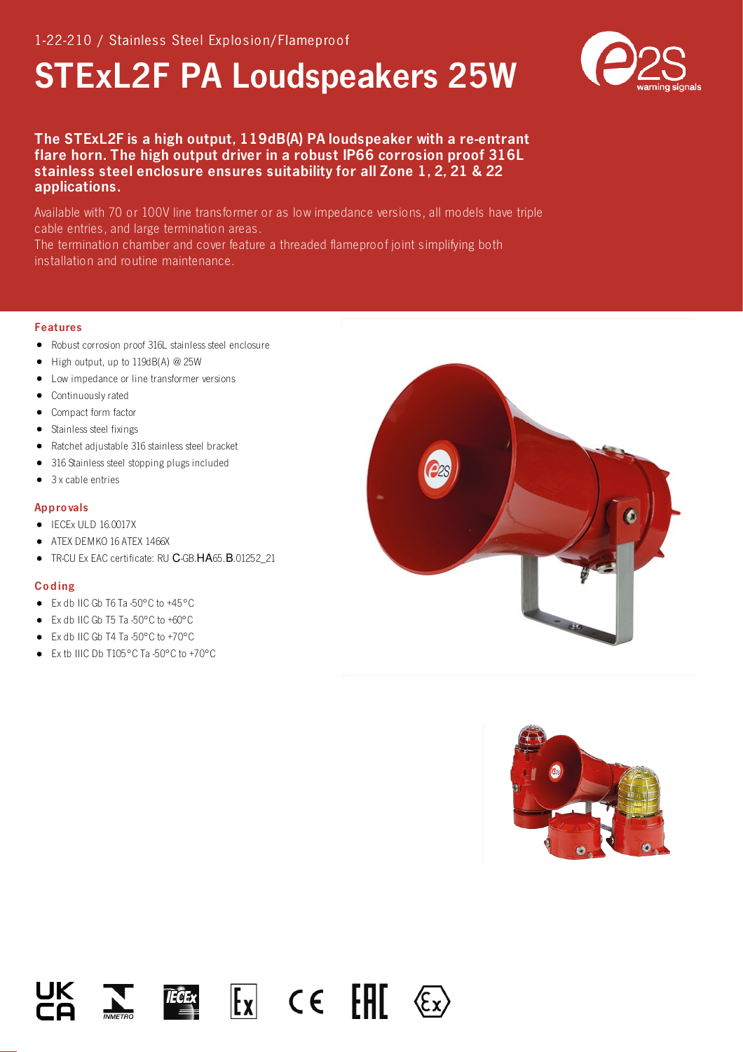# STExL2F PA Loudspeakers 25W



## The STExL2F is a high output, 119dB(A) PA loudspeaker with a re-entrant flare horn. The high output driver in a robust IP66 corrosion proof 316L stainless steel enclosure ensures suitability for all Zone 1, 2, 21 & 22 applications.

Available with 70 or 100V line transformer or as low impedance versions, all models have triple cable entries, and large termination areas.

The termination chamber and cover feature a threaded flameproof joint simplifying both installation and routine maintenance.

#### Features

- Robust corrosion proof 316L stainless steel enclosure
- $\bullet$  High output, up to 119dB(A) @ 25W
- Low impedance or line transformer versions
- Continuously rated
- Compact form factor
- Stainless steel fixings
- Ratchet adjustable 316 stainless steel bracket
- 316 Stainless steel stopping plugs included
- 3 x cable entries

#### Appro vals

- IECEx ULD 16.0017X
- ATEX DEMKO 16 ATEX 1466X
- TR-CU Ex EAC certificate: RU C-GB.HA65.B.01252\_21  $\bullet$

#### Co ding

- Ex db IIC Gb T6 Ta -50°C to +45°C
- Ex db IIC Gb T5 Ta -50°C to +60°C
- Ex db IIC Gb T4 Ta -50°C to +70°C
- Ex tb IIIC Db T105°C Ta -50°C to +70°C